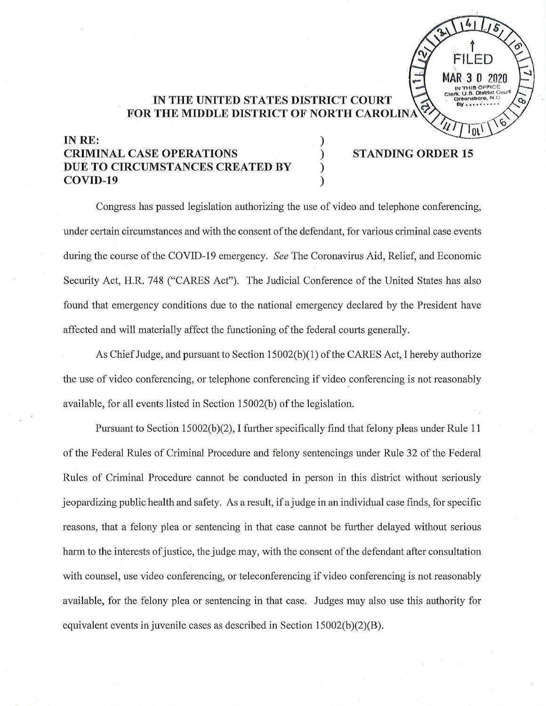## **IN THE UNITED STATES DISTRICT COURT**  FOR THE MIDDLE DISTRICT OF NORTH CAROLINA

) ) ) )

## **INRE: CRIMINAL CASE OPERATIONS DUE TO CIRCUMSTANCES CREATED BY COVID-19**

## **STANDING ORDER 15**

 $\tilde{f}$ 

**MAR 3 0 2020** Cieri<, **U.S.** otstr1ot Court **oro-ensnore, N . t ~ By.**•••••••••

 $F$ 

4

Congress has passed legislation authorizing the use of video and telephone conferencing, under certain circumstances and with the consent of the defendant, for various criminal case events during the course of the COVID-19 emergency. *See* The Coronavirus Aid, Relief, and Economic Security Act, H.R. 748 ("CARES Act"). The Judicial Conference of the United States has also found that emergency conditions due to the national emergency declared by the President have affected and will materially affect the functioning of the federal courts generally.

As Chief Judge, and pursuant to Section 15002(b)(1) of the CARES Act, I hereby authorize the use of video conferencing, or telephone conferencing if video conferencing is not reasonably available, for all events listed in Section 15002(b) of the legislation.

Pursuant to Section 15002(b)(2), I further specifically find that felony pleas under Rule 11 of the Federal Rules of Criminal Procedure and felony sentencings under Rule 32 of the Federal Rules of Criminal Procedure cannot be conducted in person in this district without seriously jeopardizing public health and safety. As a result, if a judge in an individual case finds, for specific reasons, that a felony plea or sentencing in that case cannot be further delayed without serious harm to the interests of justice, the judge may, with the consent of the defendant after consultation with counsel, use video conferencing, or teleconferencing if video conferencing is not reasonably available, for the felony plea or sentencing in that case. Judges may also use this authority for equivalent events in juvenile cases as described in Section 15002(b)(2)(B).